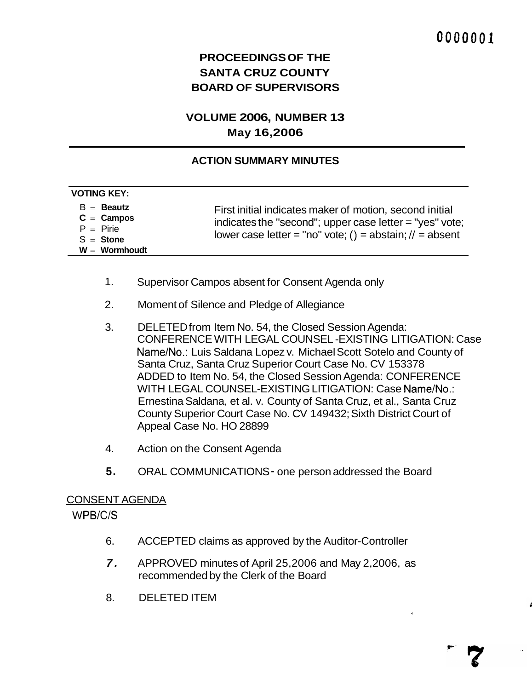# **PROCEEDINGS OF THE SANTA CRUZ COUNTY BOARD OF SUPERVISORS**

## **VOLUME 2006, NUMBER 13 May 16,2006**

## **ACTION SUMMARY MINUTES**

| $B =$ Beautz<br>First initial indicates maker of motion, second initial<br>$C =$ Campos<br>indicates the "second"; upper case letter = "yes" vote;<br>$P = P$ irie<br>lower case letter = "no" vote; () = abstain; $\ell$ = absent<br>$S =$ Stone<br>$W = Wormhoudt$ | <b>VOTING KEY:</b> |  |
|----------------------------------------------------------------------------------------------------------------------------------------------------------------------------------------------------------------------------------------------------------------------|--------------------|--|
|                                                                                                                                                                                                                                                                      |                    |  |

- 1. Supervisor Campos absent for Consent Agenda only
- 2. Moment of Silence and Pledge of Allegiance
- 3. DELETED from Item No. 54, the Closed Session Agenda: CONFERENCE WITH LEGAL COUNSEL -EXISTING LITIGATION: Case Name/No.: Luis Saldana Lopez v. Michael Scott Sotelo and County of Santa Cruz, Santa Cruz Superior Court Case No. CV 153378 ADDED to Item No. 54, the Closed Session Agenda: CONFERENCE WITH LEGAL COUNSEL-EXISTING LITIGATION: Case Name/No.: Ernestina Saldana, et al. v. County of Santa Cruz, et al., Santa Cruz County Superior Court Case No. CV 149432; Sixth District Court of Appeal Case No. HO 28899
- 4. Action on the Consent Agenda
- **5.** ORAL COMMUNICATIONS one person addressed the Board

#### CONSENT AGENDA

WPB/C/S

- 6. ACCEPTED claims as approved by the Auditor-Controller
- *7.* APPROVED minutes of April 25,2006 and May 2,2006, as recommended by the Clerk of the Board
- 8. DELETED ITEM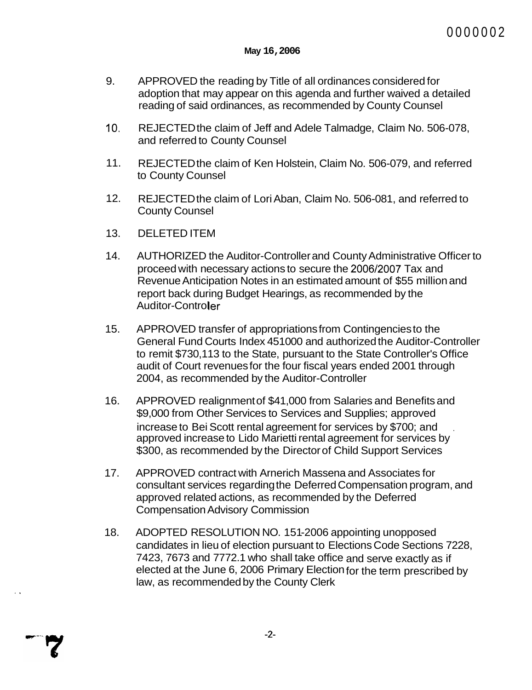- 9. APPROVED the reading by Title of all ordinances considered for adoption that may appear on this agenda and further waived a detailed reading of said ordinances, as recommended by County Counsel
- 10. REJECTED the claim of Jeff and Adele Talmadge, Claim No. 506-078, and referred to County Counsel
- 11. REJECTED the claim of Ken Holstein, Claim No. 506-079, and referred to County Counsel
- 12. REJECTED the claim of Lori Aban, Claim No. 506-081, and referred to County Counsel
- 13. DELETED ITEM

..

- 14. AUTHORIZED the Auditor-Controller and County Administrative Officer to proceed with necessary actions to secure the 2006/2007 Tax and Revenue Anticipation Notes in an estimated amount of \$55 million and report back during Budget Hearings, as recommended by the Auditor-Controller
- 15. APPROVED transfer of appropriations from Contingencies to the General Fund Courts Index 451 000 and authorized the Auditor-Controller to remit \$730,113 to the State, pursuant to the State Controller's Office audit of Court revenues for the four fiscal years ended 2001 through 2004, as recommended by the Auditor-Controller
- 16. APPROVED realignment of \$41,000 from Salaries and Benefits and \$9,000 from Other Services to Services and Supplies; approved increase to Bei Scott rental agreement for services by \$700; and approved increase to Lido Marietti rental agreement for services by \$300, as recommended by the Director of Child Support Services
- 17. APPROVED contract with Arnerich Massena and Associates for consultant services regarding the Deferred Compensation program, and approved related actions, as recommended by the Deferred Compensation Advisory Commission
- 18. ADOPTED RESOLUTION NO. 151-2006 appointing unopposed candidates in lieu of election pursuant to Elections Code Sections 7228, 7423, 7673 and 7772.1 who shall take office and serve exactly as if elected at the June 6, 2006 Primary Election for the term prescribed by law, as recommended by the County Clerk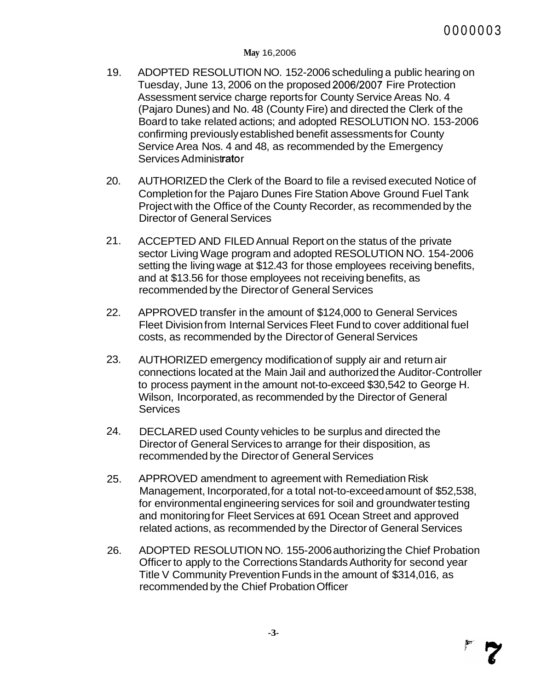- 19. ADOPTED RESOLUTION NO. 152-2006 scheduling a public hearing on Tuesday, June 13, 2006 on the proposed 2006/2007 Fire Protection Assessment service charge reports for County Service Areas No. 4 (Pajaro Dunes) and No. 48 (County Fire) and directed the Clerk of the Board to take related actions; and adopted RESOLUTION NO. 153-2006 confirming previously established benefit assessments for County Service Area Nos. 4 and 48, as recommended by the Emergency Services Administrator
- 20. AUTHORIZED the Clerk of the Board to file a revised executed Notice of Completion for the Pajaro Dunes Fire Station Above Ground Fuel Tank Project with the Office of the County Recorder, as recommended by the Director of General Services
- 21. ACCEPTED AND FILED Annual Report on the status of the private sector Living Wage program and adopted RESOLUTION NO. 154-2006 setting the living wage at \$12.43 for those employees receiving benefits, and at \$13.56 for those employees not receiving benefits, as recommended by the Director of General Services
- 22. APPROVED transfer in the amount of \$124,000 to General Services Fleet Division from Internal Services Fleet Fund to cover additional fuel costs, as recommended by the Director of General Services
- 23. AUTHORIZED emergency modification of supply air and return air connections located at the Main Jail and authorized the Auditor-Controller to process payment in the amount not-to-exceed \$30,542 to George H. Wilson, Incorporated, as recommended by the Director of General **Services**
- 24. DECLARED used County vehicles to be surplus and directed the Director of General Services to arrange for their disposition, as recommended by the Director of General Services
- 25. APPROVED amendment to agreement with Remediation Risk Management, Incorporated, for a total not-to-exceed amount of \$52,538, for environmental engineering services for soil and groundwater testing and monitoring for Fleet Services at 691 Ocean Street and approved related actions, as recommended by the Director of General Services
- 26. ADOPTED RESOLUTION NO. 155-2006 authorizing the Chief Probation Officer to apply to the Corrections Standards Authority for second year Title V Community Prevention Funds in the amount of \$314,016, as recommended by the Chief Probation Officer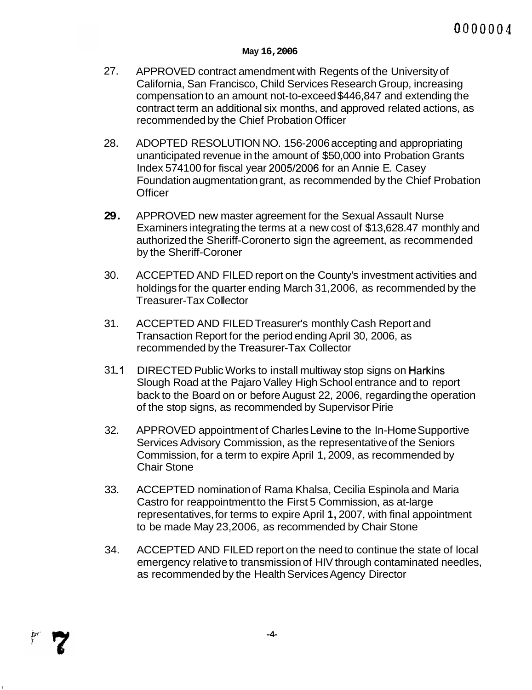- 27. APPROVED contract amendment with Regents of the University of California, San Francisco, Child Services Research Group, increasing compensation to an amount not-to-exceed \$446,847 and extending the contract term an additional six months, and approved related actions, as recommended by the Chief Probation Officer
- 28. ADOPTED RESOLUTION NO. 156-2006 accepting and appropriating unanticipated revenue in the amount of \$50,000 into Probation Grants Index 574100 for fiscal year 2005/2006 for an Annie E. Casey Foundation augmentation grant, as recommended by the Chief Probation **Officer**
- **29.**  APPROVED new master agreement for the Sexual Assault Nurse Examiners integrating the terms at a new cost of \$13,628.47 monthly and authorized the Sheriff-Coronerto sign the agreement, as recommended by the Sheriff-Coroner
- 30. ACCEPTED AND FILED report on the County's investment activities and holdings for the quarter ending March 31,2006, as recommended by the Treasurer-Tax Collector
- 31. ACCEPTED AND FILED Treasurer's monthly Cash Report and Transaction Report for the period ending April 30, 2006, as recommended by the Treasurer-Tax Collector
- $31.1$ DIRECTED Public Works to install multiway stop signs on Harkins Slough Road at the Pajaro Valley High School entrance and to report back to the Board on or before August 22, 2006, regarding the operation of the stop signs, as recommended by Supervisor Pirie
- 32. APPROVED appointment of Charles Levine to the In-Home Supportive Services Advisory Commission, as the representative of the Seniors Commission, for a term to expire April 1, 2009, as recommended by Chair Stone
- 33. ACCEPTED nomination of Rama Khalsa, Cecilia Espinola and Maria Castro for reappointment to the First 5 Commission, as at-large representatives, for terms to expire April **1,** 2007, with final appointment to be made May 23,2006, as recommended by Chair Stone
- 34. ACCEPTED AND FILED report on the need to continue the state of local emergency relative to transmission of HIV through contaminated needles, as recommended by the Health Services Agency Director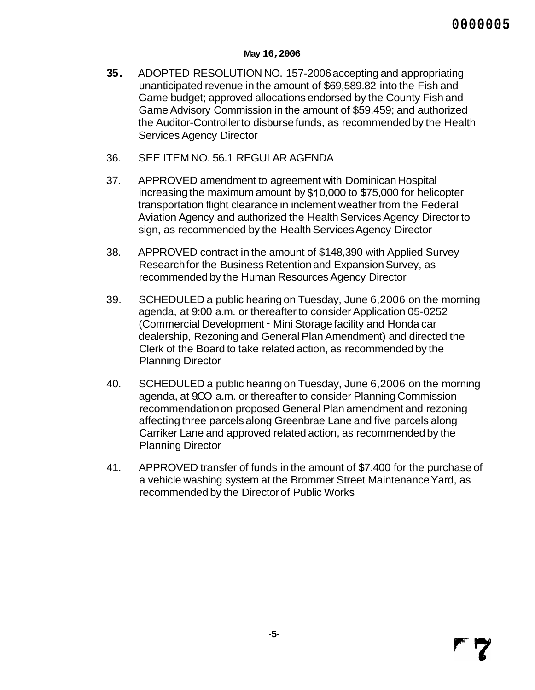- **35.** ADOPTED RESOLUTION NO. 157-2006 accepting and appropriating unanticipated revenue in the amount of \$69,589.82 into the Fish and Game budget; approved allocations endorsed by the County Fish and Game Advisory Commission in the amount of \$59,459; and authorized the Auditor-Controller to disburse funds, as recommended by the Health Services Agency Director
- 36. SEE ITEM NO. 56.1 REGULAR AGENDA
- 37. APPROVED amendment to agreement with Dominican Hospital increasing the maximum amount by \$1 0,000 to \$75,000 for helicopter transportation flight clearance in inclement weather from the Federal Aviation Agency and authorized the Health Services Agency Director to sign, as recommended by the Health Services Agency Director
- 38. APPROVED contract in the amount of \$148,390 with Applied Survey Research for the Business Retention and Expansion Survey, as recommended by the Human Resources Agency Director
- 39. SCHEDULED a public hearing on Tuesday, June 6,2006 on the morning agenda, at 9:00 a.m. or thereafter to consider Application 05-0252 (Commercial Development - Mini Storage facility and Honda car dealership, Rezoning and General Plan Amendment) and directed the Clerk of the Board to take related action, as recommended by the Planning Director
- 40. SCHEDULED a public hearing on Tuesday, June 6,2006 on the morning agenda, at 900 a.m. or thereafter to consider Planning Commission recommendation on proposed General Plan amendment and rezoning affecting three parcels along Greenbrae Lane and five parcels along Carriker Lane and approved related action, as recommended by the Planning Director
- 41. APPROVED transfer of funds in the amount of \$7,400 for the purchase of a vehicle washing system at the Brommer Street Maintenance Yard, as recommended by the Director of Public Works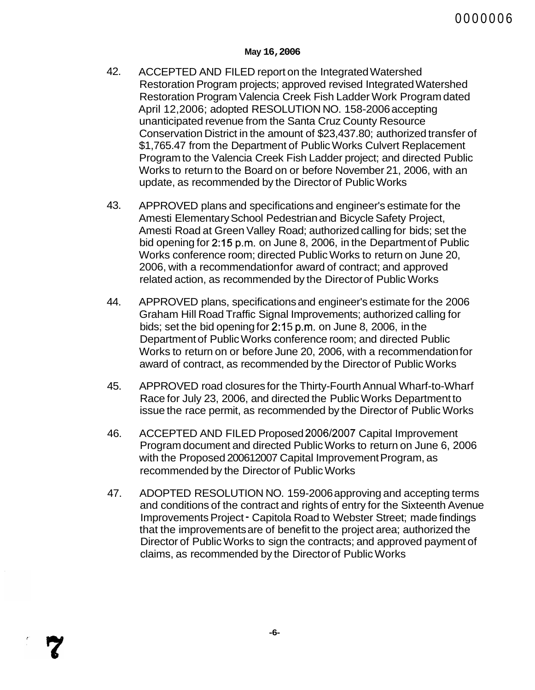- 42. ACCEPTED AND FILED report on the Integrated Watershed Restoration Program projects; approved revised Integrated Watershed Restoration Program Valencia Creek Fish Ladder Work Program dated April 12,2006; adopted RESOLUTION NO. 158-2006 accepting unanticipated revenue from the Santa Cruz County Resource Conservation District in the amount of \$23,437.80; authorized transfer of \$1,765.47 from the Department of Public Works Culvert Replacement Program to the Valencia Creek Fish Ladder project; and directed Public Works to return to the Board on or before November 21, 2006, with an update, as recommended by the Director of Public Works
- 43. APPROVED plans and specifications and engineer's estimate for the Amesti Elementary School Pedestrian and Bicycle Safety Project, Amesti Road at Green Valley Road; authorized calling for bids; set the bid opening for 2:15 p.m. on June 8, 2006, in the Department of Public Works conference room; directed Public Works to return on June 20, 2006, with a recommendation for award of contract; and approved related action, as recommended by the Director of Public Works
- 44. APPROVED plans, specifications and engineer's estimate for the 2006 Graham Hill Road Traffic Signal Improvements; authorized calling for bids; set the bid opening for 2:15 p.m. on June 8, 2006, in the Department of Public Works conference room; and directed Public Works to return on or before June 20, 2006, with a recommendation for award of contract, as recommended by the Director of Public Works
- 45. APPROVED road closures for the Thirty-Fourth Annual Wharf-to-Wharf Race for July 23, 2006, and directed the Public Works Department to issue the race permit, as recommended by the Director of Public Works
- 46. ACCEPTED AND FILED Proposed 2006/2007 Capital Improvement Program document and directed Public Works to return on June 6, 2006 with the Proposed 200612007 Capital Improvement Program, as recommended by the Director of Public Works
- 47. ADOPTED RESOLUTION NO. 159-2006 approving and accepting terms and conditions of the contract and rights of entry for the Sixteenth Avenue Improvements Project - Capitola Road to Webster Street; made findings that the improvements are of benefit to the project area; authorized the Director of Public Works to sign the contracts; and approved payment of claims, as recommended by the Director of Public Works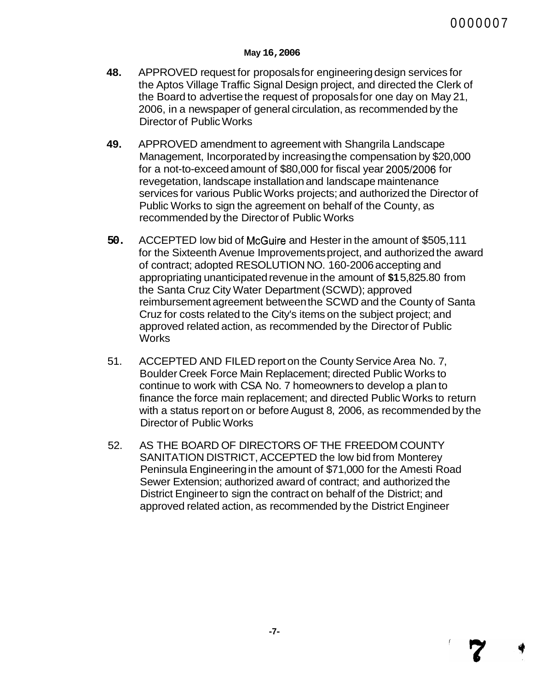- **48.** APPROVED request for proposals for engineering design services for the Aptos Village Traffic Signal Design project, and directed the Clerk of the Board to advertise the request of proposals for one day on May 21, 2006, in a newspaper of general circulation, as recommended by the Director of Public Works
- **49.** APPROVED amendment to agreement with Shangrila Landscape Management, Incorporated by increasing the compensation by \$20,000 for a not-to-exceed amount of \$80,000 for fiscal year 2005/2006 for revegetation, landscape installation and landscape maintenance services for various Public Works projects; and authorized the Director of Public Works to sign the agreement on behalf of the County, as recommended by the Director of Public Works
- **50.** ACCEPTED low bid of McGuire and Hester in the amount of \$505,111 for the Sixteenth Avenue Improvements project, and authorized the award of contract; adopted RESOLUTION NO. 160-2006 accepting and appropriating unanticipated revenue in the amount of **\$1** 5,825.80 from the Santa Cruz City Water Department (SCWD); approved reimbursement agreement between the SCWD and the County of Santa Cruz for costs related to the City's items on the subject project; and approved related action, as recommended by the Director of Public **Works**
- 51. ACCEPTED AND FILED report on the County Service Area No. 7, Boulder Creek Force Main Replacement; directed Public Works to continue to work with CSA No. 7 homeowners to develop a plan to finance the force main replacement; and directed Public Works to return with a status report on or before August 8, 2006, as recommended by the Director of Public Works
- 52. AS THE BOARD OF DIRECTORS OF THE FREEDOM COUNTY SANITATION DISTRICT, ACCEPTED the low bid from Monterey Peninsula Engineering in the amount of \$71,000 for the Amesti Road Sewer Extension; authorized award of contract; and authorized the District Engineer to sign the contract on behalf of the District; and approved related action, as recommended by the District Engineer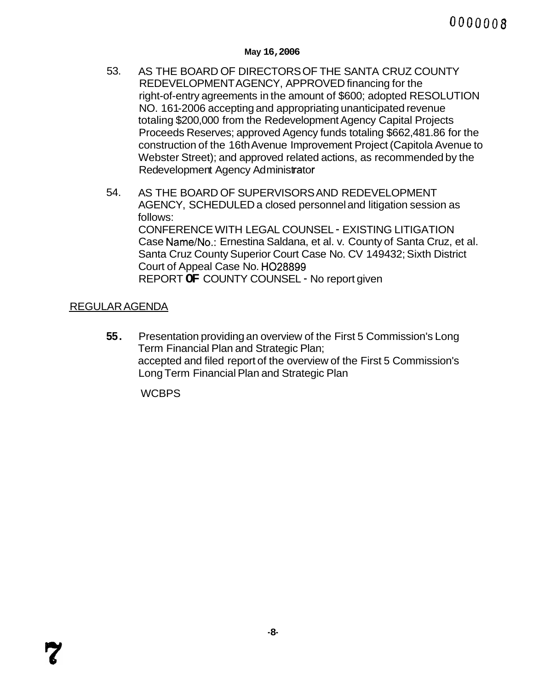- 53. AS THE BOARD OF DIRECTORS OF THE SANTA CRUZ COUNTY REDEVELOPMENT AGENCY, APPROVED financing for the right-of-entry agreements in the amount of \$600; adopted RESOLUTION NO. 161-2006 accepting and appropriating unanticipated revenue totaling \$200,000 from the Redevelopment Agency Capital Projects Proceeds Reserves; approved Agency funds totaling \$662,481.86 for the construction of the 16th Avenue Improvement Project (Capitola Avenue to Webster Street); and approved related actions, as recommended by the Redevelopment Agency Administrator
- 54. AS THE BOARD OF SUPERVISORS AND REDEVELOPMENT AGENCY, SCHEDULED a closed personnel and litigation session as follows: CONFERENCE WITH LEGAL COUNSEL - EXISTING LITIGATION Case Name/No.: Ernestina Saldana, et al. v. County of Santa Cruz, et al. Santa Cruz County Superior Court Case No. CV 149432; Sixth District Court of Appeal Case No. H028899 REPORT **OF** COUNTY COUNSEL - No report given

## REGULAR AGENDA

**55.** Presentation providing an overview of the First 5 Commission's Long Term Financial Plan and Strategic Plan; accepted and filed report of the overview of the First 5 Commission's Long Term Financial Plan and Strategic Plan

**WCBPS**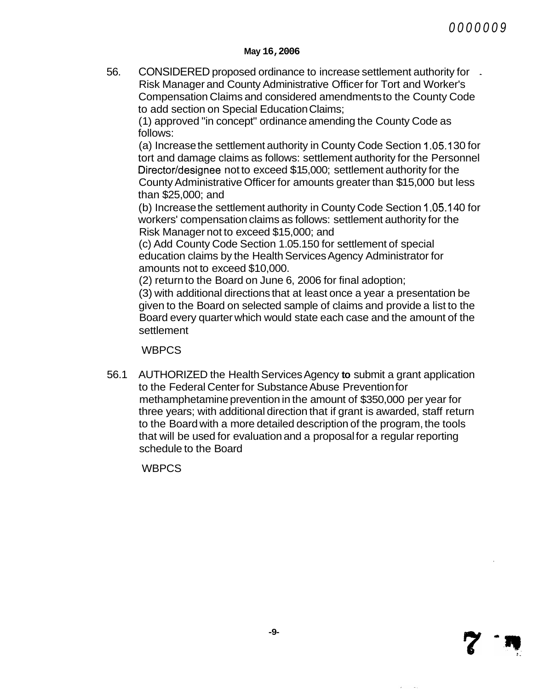56. CONSIDERED proposed ordinance to increase settlement authority for - Risk Manager and County Administrative Officer for Tort and Worker's Compensation Claims and considered amendments to the County Code to add section on Special Education Claims;

(1 ) approved "in concept'' ordinance amending the County Code as follows:

(a) Increase the settlement authority in County Code Section 1.05.1 30 for tort and damage claims as follows: settlement authority for the Personnel Director/designee not to exceed \$15,000; settlement authority for the County Administrative Officer for amounts greater than \$1 5,000 but less than \$25,000; and

(b) Increase the settlement authority in County Code Section 1.05.1 40 for workers' compensation claims as follows: settlement authority for the Risk Manager not to exceed \$15,000; and

(c) Add County Code Section 1.05.1 50 for settlement of special education claims by the Health Services Agency Administrator for amounts not to exceed \$10,000.

(2) return to the Board on June 6, 2006 for final adoption;

(3) with additional directions that at least once a year a presentation be given to the Board on selected sample of claims and provide a list to the Board every quarter which would state each case and the amount of the settlement

**WBPCS** 

56.1 AUTHORIZED the Health Services Agency **to** submit a grant application to the Federal Center for Substance Abuse Prevention for methamphetamine prevention in the amount of \$350,000 per year for three years; with additional direction that if grant is awarded, staff return to the Board with a more detailed description of the program, the tools that will be used for evaluation and a proposal for a regular reporting schedule to the Board

WBPCS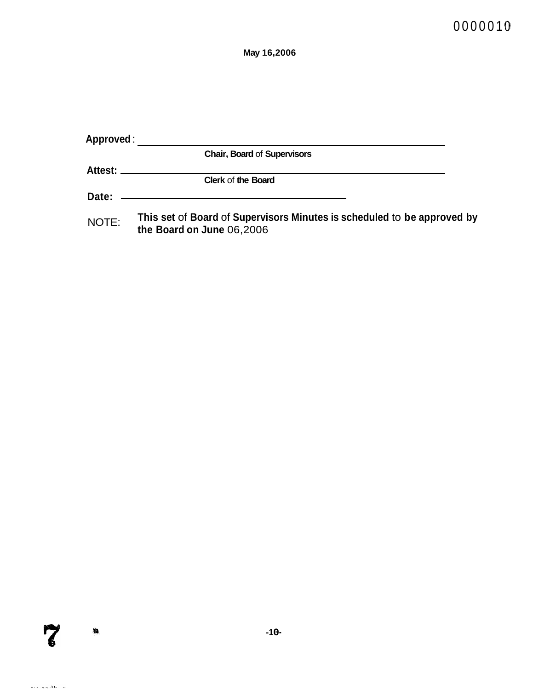| Approved:  |                                                                                                      |  |
|------------|------------------------------------------------------------------------------------------------------|--|
|            | <b>Chair, Board of Supervisors</b>                                                                   |  |
| Attest: __ |                                                                                                      |  |
|            | <b>Clerk of the Board</b>                                                                            |  |
| Date:      |                                                                                                      |  |
| NOTE:      | This set of Board of Supervisors Minutes is scheduled to be approved by<br>the Board on June 06,2006 |  |

 $\tilde{z}$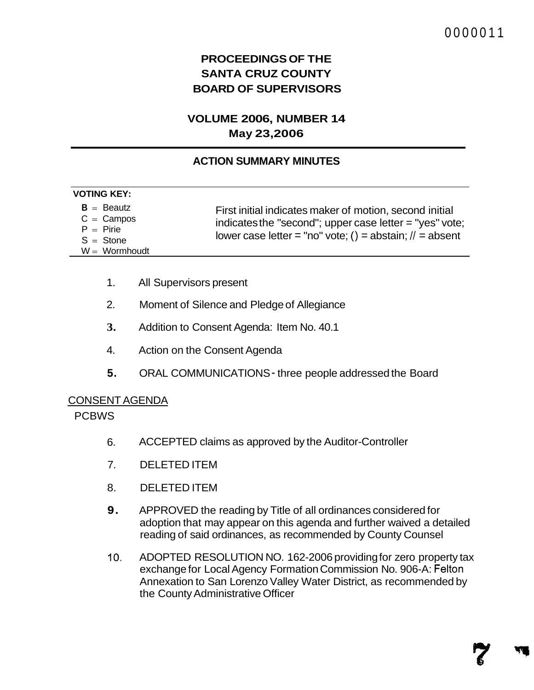# **PROCEEDINGS OF THE SANTA CRUZ COUNTY BOARD OF SUPERVISORS**

# **VOLUME 2006, NUMBER 14 May 23,2006**

## **ACTION SUMMARY MINUTES**

| <b>VOTING KEY:</b>                                                             |                                                                                                                                                                                    |
|--------------------------------------------------------------------------------|------------------------------------------------------------------------------------------------------------------------------------------------------------------------------------|
| $B =$ Beautz<br>$C =$ Campos<br>$P = P$ irie<br>$S =$ Stone<br>$W = Wormhoudt$ | First initial indicates maker of motion, second initial<br>indicates the "second"; upper case letter = "yes" vote;<br>lower case letter = "no" vote; () = abstain; $\ell$ = absent |

- 1. All Supervisors present
- 2. Moment of Silence and Pledge of Allegiance
- **3.** Addition to Consent Agenda: Item No. 40.1
- 4. Action on the Consent Agenda
- **5.** ORAL COMMUNICATIONS three people addressed the Board

#### CONSENT AGENDA

PCBWS

- 6. ACCEPTED claims as approved by the Auditor-Controller
- 7. DELETED ITEM
- 8. DELETED ITEM
- **9.** APPROVED the reading by Title of all ordinances considered for adoption that may appear on this agenda and further waived a detailed reading of said ordinances, as recommended by County Counsel
- IO. ADOPTED RESOLUTION NO. 162-2006 providing for zero property tax exchange for Local Agency Formation Commission No. 906-A: Felton Annexation to San Lorenzo Valley Water District, as recommended by the County Administrative Officer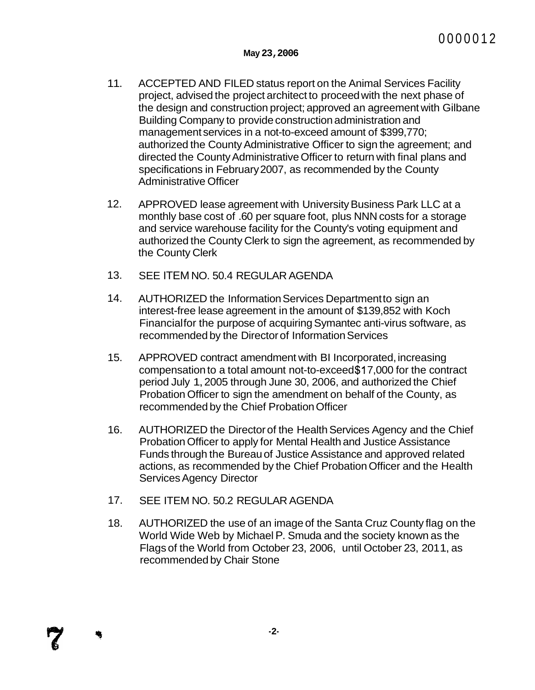- 11. ACCEPTED AND FILED status report on the Animal Services Facility project, advised the project architect to proceed with the next phase of the design and construction project; approved an agreement with Gilbane Building Company to provide construction administration and management services in a not-to-exceed amount of \$399,770; authorized the County Administrative Officer to sign the agreement; and directed the County Administrative Officer to return with final plans and specifications in February 2007, as recommended by the County Administrative Officer
- 12. APPROVED lease agreement with University Business Park LLC at a monthly base cost of .60 per square foot, plus NNN costs for a storage and service warehouse facility for the County's voting equipment and authorized the County Clerk to sign the agreement, as recommended by the County Clerk
- 13. SEE ITEM NO. 50.4 REGULAR AGENDA
- 14. AUTHORIZED the Information Services Department to sign an interest-free lease agreement in the amount of \$139,852 with Koch Financial for the purpose of acquiring Symantec anti-virus software, as recommended by the Director of Information Services
- 15. APPROVED contract amendment with BI Incorporated, increasing compensation to a total amount not-to-exceed \$1 7,000 for the contract period July 1, 2005 through June 30, 2006, and authorized the Chief Probation Officer to sign the amendment on behalf of the County, as recommended by the Chief Probation Officer
- 16. AUTHORIZED the Director of the Health Services Agency and the Chief Probation Officer to apply for Mental Health and Justice Assistance Funds through the Bureau of Justice Assistance and approved related actions, as recommended by the Chief Probation Officer and the Health Services Agency Director
- 17. SEE ITEM NO. 50.2 REGULAR AGENDA
- 18. AUTHORIZED the use of an image of the Santa Cruz County flag on the World Wide Web by Michael P. Smuda and the society known as the Flags of the World from October 23, 2006, until October 23, 201 1, as recommended by Chair Stone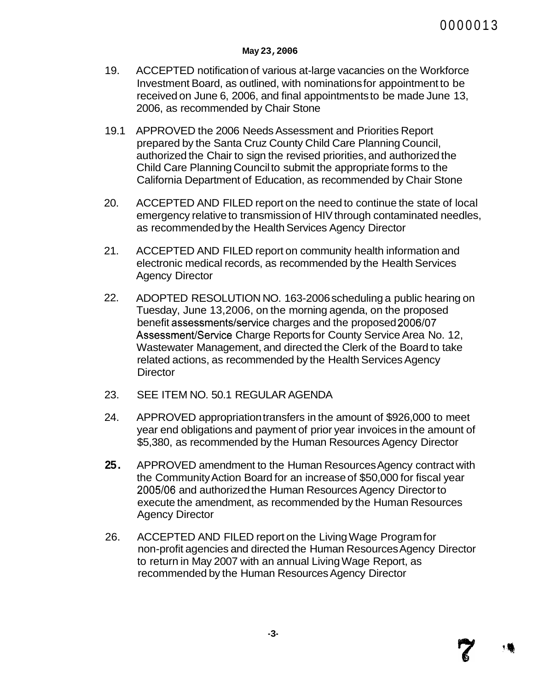- 19. ACCEPTED notification of various at-large vacancies on the Workforce Investment Board, as outlined, with nominations for appointment to be received on June 6, 2006, and final appointments to be made June 13, 2006, as recommended by Chair Stone
- 19.1 APPROVED the 2006 Needs Assessment and Priorities Report prepared by the Santa Cruz County Child Care Planning Council, authorized the Chair to sign the revised priorities, and authorized the Child Care Planning Council to submit the appropriate forms to the California Department of Education, as recommended by Chair Stone
- 20. ACCEPTED AND FILED report on the need to continue the state of local emergency relative to transmission of HIV through contaminated needles, as recommended by the Health Services Agency Director
- 21. ACCEPTED AND FILED report on community health information and electronic medical records, as recommended by the Health Services Agency Director
- 22. ADOPTED RESOLUTION NO. 163-2006 scheduling a public hearing on Tuesday, June 13,2006, on the morning agenda, on the proposed benefit assessments/service charges and the proposed 2006/07 Assessment/Service Charge Reports for County Service Area No. 12, Wastewater Management, and directed the Clerk of the Board to take related actions, as recommended by the Health Services Agency **Director**
- 23. SEE ITEM NO. 50.1 REGULAR AGENDA
- 24. APPROVED appropriation transfers in the amount of \$926,000 to meet year end obligations and payment of prior year invoices in the amount of \$5,380, as recommended by the Human Resources Agency Director
- **25.**  APPROVED amendment to the Human Resources Agency contract with the Community Action Board for an increase of \$50,000 for fiscal year 2005/06 and authorized the Human Resources Agency Director to execute the amendment, as recommended by the Human Resources Agency Director
- 26. ACCEPTED AND FILED report on the Living Wage Program for non-profit agencies and directed the Human Resources Agency Director to return in May 2007 with an annual Living Wage Report, as recommended by the Human Resources Agency Director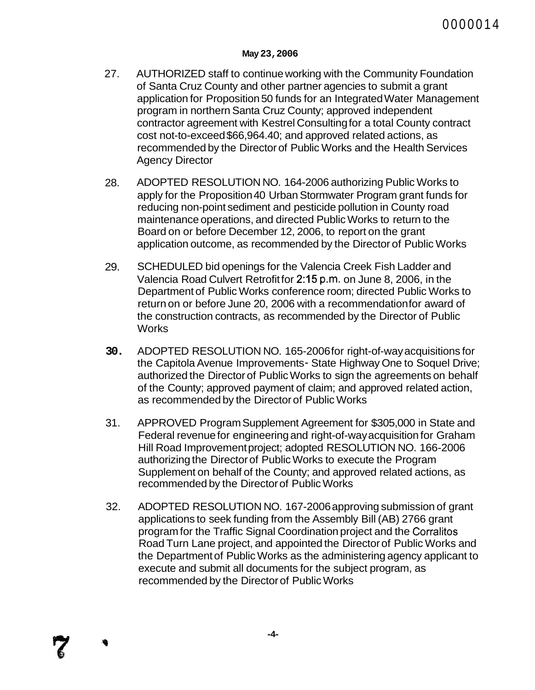- 27. AUTHORIZED staff to continue working with the Community Foundation of Santa Cruz County and other partner agencies to submit a grant application for Proposition 50 funds for an Integrated Water Management program in northern Santa Cruz County; approved independent contractor agreement with Kestrel Consulting for a total County contract cost not-to-exceed \$66,964.40; and approved related actions, as recommended by the Director of Public Works and the Health Services Agency Director
- 28. ADOPTED RESOLUTION NO. 164-2006 authorizing Public Works to apply for the Proposition 40 Urban Stormwater Program grant funds for reducing non-point sediment and pesticide pollution in County road maintenance operations, and directed Public Works to return to the Board on or before December 12, 2006, to report on the grant application outcome, as recommended by the Director of Public Works
- 29. SCHEDULED bid openings for the Valencia Creek Fish Ladder and Valencia Road Culvert Retrofit for 215 p.m. on June 8, 2006, in the Department of Public Works conference room; directed Public Works to return on or before June 20, 2006 with a recommendation for award of the construction contracts, as recommended by the Director of Public **Works**
- **30.** ADOPTED RESOLUTION NO. 165-2006 for right-of-way acquisitions for the Capitola Avenue Improvements - State Highway One to Soquel Drive; authorized the Director of Public Works to sign the agreements on behalf of the County; approved payment of claim; and approved related action, as recommended by the Director of Public Works
- 31. APPROVED Program Supplement Agreement for \$305,000 in State and Federal revenue for engineering and right-of-way acquisition for Graham Hill Road Improvement project; adopted RESOLUTION NO. 166-2006 authorizing the Director of Public Works to execute the Program Supplement on behalf of the County; and approved related actions, as recommended by the Director of Public Works
- 32. ADOPTED RESOLUTION NO. 167-2006 approving submission of grant applications to seek funding from the Assembly Bill (AB) 2766 grant program for the Traffic Signal Coordination project and the Corralitos Road Turn Lane project, and appointed the Director of Public Works and the Department of Public Works as the administering agency applicant to execute and submit all documents for the subject program, as recommended by the Director of Public Works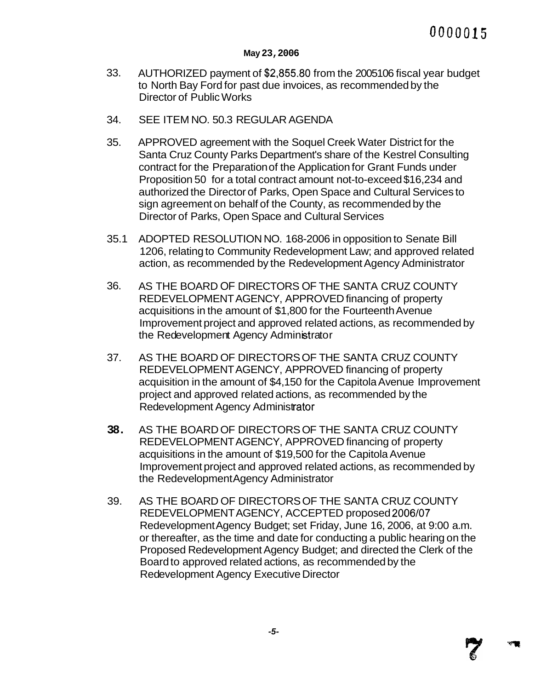#### **May 23,2006**

- 33. AUTHORIZED payment of \$2,855.80 from the 2005106 fiscal year budget to North Bay Ford for past due invoices, as recommended by the Director of Public Works
- 34. SEE ITEM NO. 50.3 REGULAR AGENDA
- 35. APPROVED agreement with the Soquel Creek Water District for the Santa Cruz County Parks Department's share of the Kestrel Consulting contract for the Preparation of the Application for Grant Funds under Proposition 50 for a total contract amount not-to-exceed \$16,234 and authorized the Director of Parks, Open Space and Cultural Services to sign agreement on behalf of the County, as recommended by the Director of Parks, Open Space and Cultural Services
- 35.1 ADOPTED RESOLUTION NO. 168-2006 in opposition to Senate Bill 1206, relating to Community Redevelopment Law; and approved related action, as recommended by the Redevelopment Agency Administrator
- 36. AS THE BOARD OF DIRECTORS OF THE SANTA CRUZ COUNTY REDEVELOPMENT AGENCY, APPROVED financing of property acquisitions in the amount of \$1,800 for the Fourteenth Avenue Improvement project and approved related actions, as recommended by the Redevelopment Agency Administrator
- 37. AS THE BOARD OF DIRECTORS OF THE SANTA CRUZ COUNTY REDEVELOPMENT AGENCY, APPROVED financing of property acquisition in the amount of \$4,150 for the Capitola Avenue Improvement project and approved related actions, as recommended by the Redevelopment Agency Administrator
- **38.** AS THE BOARD OF DIRECTORS OF THE SANTA CRUZ COUNTY REDEVELOPMENT AGENCY, APPROVED financing of property acquisitions in the amount of \$19,500 for the Capitola Avenue Improvement project and approved related actions, as recommended by the Redevelopment Agency Administrator
- 39. AS THE BOARD OF DIRECTORS OF THE SANTA CRUZ COUNTY REDEVELOPMENT AGENCY, ACCEPTED proposed 2006/07 Redevelopment Agency Budget; set Friday, June 16, 2006, at 9:00 a.m. or thereafter, as the time and date for conducting a public hearing on the Proposed Redevelopment Agency Budget; and directed the Clerk of the Board to approved related actions, as recommended by the Redevelopment Agency Executive Director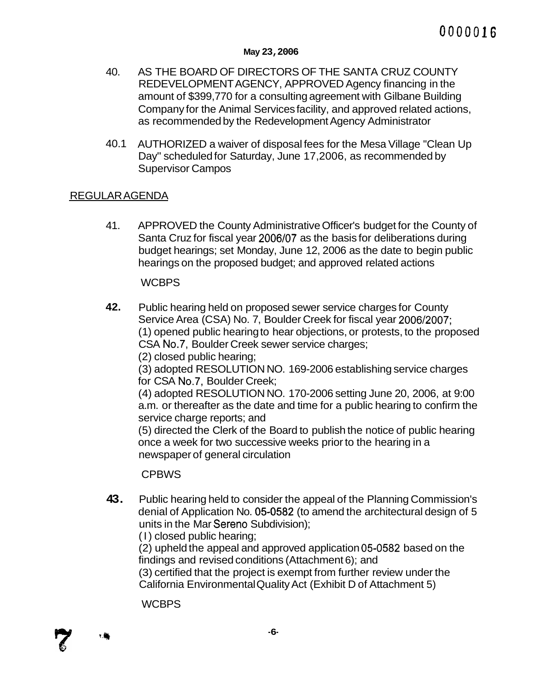- 40. AS THE BOARD OF DIRECTORS OF THE SANTA CRUZ COUNTY REDEVELOPMENT AGENCY, APPROVED Agency financing in the amount of \$399,770 for a consulting agreement with Gilbane Building Company for the Animal Services facility, and approved related actions, as recommended by the Redevelopment Agency Administrator
- 40.1 AUTHORIZED a waiver of disposal fees for the Mesa Village "Clean Up Day" scheduled for Saturday, June 17,2006, as recommended by Supervisor Campos

## REGULAR AGENDA

41. APPROVED the County Administrative Officer's budget for the County of Santa Cruz for fiscal year 2006/07 as the basis for deliberations during budget hearings; set Monday, June 12, 2006 as the date to begin public hearings on the proposed budget; and approved related actions

## **WCBPS**

**42.** Public hearing held on proposed sewer service charges for County Service Area (CSA) No. 7, Boulder Creek for fiscal year 2006/2007; (1 ) opened public hearing to hear objections, or protests, to the proposed CSA No.7, Boulder Creek sewer service charges;

(2) closed public hearing;

(3) adopted RESOLUTION NO. 169-2006 establishing service charges for CSA No.7, Boulder Creek;

(4) adopted RESOLUTION NO. 170-2006 setting June 20, 2006, at 9:00 a.m. or thereafter as the date and time for a public hearing to confirm the service charge reports; and

(5) directed the Clerk of the Board to publish the notice of public hearing once a week for two successive weeks prior to the hearing in a newspaper of general circulation

**CPBWS** 

**43.** Public hearing held to consider the appeal of the Planning Commission's denial of Application No. **05-0582** (to amend the architectural design of 5 units in the Mar Sereno Subdivision);

(I) closed public hearing;

(2) upheld the appeal and approved application **05-0582** based on the findings and revised conditions (Attachment 6); and

(3) certified that the project is exempt from further review under the California Environmental Quality Act (Exhibit D of Attachment 5)

**WCBPS** 

 $^{\circ}$  (  $^{\prime\prime}$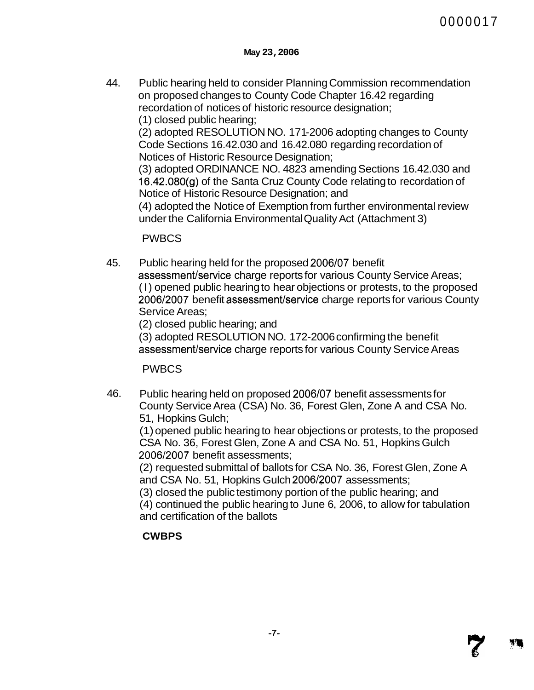44. Public hearing held to consider Planning Commission recommendation on proposed changes to County Code Chapter 16.42 regarding recordation of notices of historic resource designation;

(1 ) closed public hearing;

(2) adopted RESOLUTION NO. 171 -2006 adopting changes to County Code Sections 16.42.030 and 16.42.080 regarding recordation of Notices of Historic Resource Designation;

(3) adopted ORDINANCE NO. 4823 amending Sections 16.42.030 and 16,42.08O(g) of the Santa Cruz County Code relating to recordation of Notice of Historic Resource Designation; and

(4) adopted the Notice of Exemption from further environmental review under the California Environmental Quality Act (Attachment 3)

PWBCS

45. Public hearing held for the proposed 2006/07 benefit

assessment/service charge reports for various County Service Areas; (I) opened public hearing to hear objections or protests, to the proposed 2006/2007 benefit assessment/service charge reports for various County Service Areas;

(2) closed public hearing; and

(3) adopted RESOLUTION NO. 172-2006 confirming the benefit assessment/service charge reports for various County Service Areas

PWBCS

46. Public hearing held on proposed 2006/07 benefit assessments for County Service Area (CSA) No. 36, Forest Glen, Zone A and CSA No. 51, Hopkins Gulch;

(1) opened public hearing to hear objections or protests, to the proposed CSA No. 36, Forest Glen, Zone A and CSA No. 51, Hopkins Gulch 2006/2007 benefit assessments;

(2) requested submittal of ballots for CSA No. 36, Forest Glen, Zone A and CSA No. 51, Hopkins Gulch 2006/2007 assessments;

(3) closed the public testimony portion of the public hearing; and (4) continued the public hearing to June 6, 2006, to allow for tabulation and certification of the ballots

# **CWBPS**

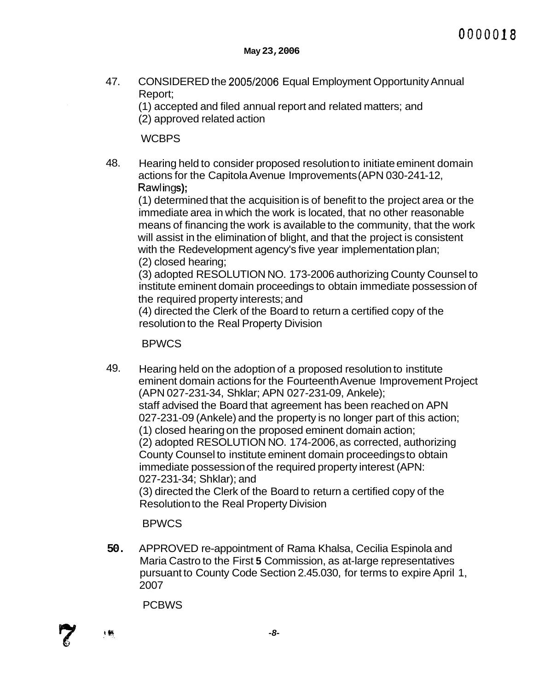47. CONSIDERED the 2005/2006 Equal Employment Opportunity Annual Report;

(1) accepted and filed annual report and related matters; and (2) approved related action

**WCBPS** 

48. Hearing held to consider proposed resolution to initiate eminent domain actions for the Capitola Avenue Improvements (APN 030-241-12, Rawlings);

(1) determined that the acquisition is of benefit to the project area or the immediate area in which the work is located, that no other reasonable means of financing the work is available to the community, that the work will assist in the elimination of blight, and that the project is consistent with the Redevelopment agency's five year implementation plan; (2) closed hearing;

(3) adopted RESOLUTION NO. 173-2006 authorizing County Counsel to institute eminent domain proceedings to obtain immediate possession of the required property interests; and

(4) directed the Clerk of the Board to return a certified copy of the resolution to the Real Property Division

## BPWCS

49. Hearing held on the adoption of a proposed resolution to institute eminent domain actions for the Fourteenth Avenue Improvement Project (APN 027-231 -34, Shklar; APN 027-231 -09, Ankele); staff advised the Board that agreement has been reached on APN 027-231-09 (Ankele) and the property is no longer part of this action; (1 ) closed hearing on the proposed eminent domain action; (2) adopted RESOLUTION NO. 174-2006, as corrected, authorizing County Counsel to institute eminent domain proceedings to obtain immediate possession of the required property interest (APN: 027-231-34; Shklar); and (3) directed the Clerk of the Board to return a certified copy of the Resolution to the Real Property Division

BPWCS

**50.** APPROVED re-appointment of Rama Khalsa, Cecilia Espinola and Maria Castro to the First **5** Commission, as at-large representatives pursuant to County Code Section 2.45.030, for terms to expire April 1, 2007

**PCBWS** 

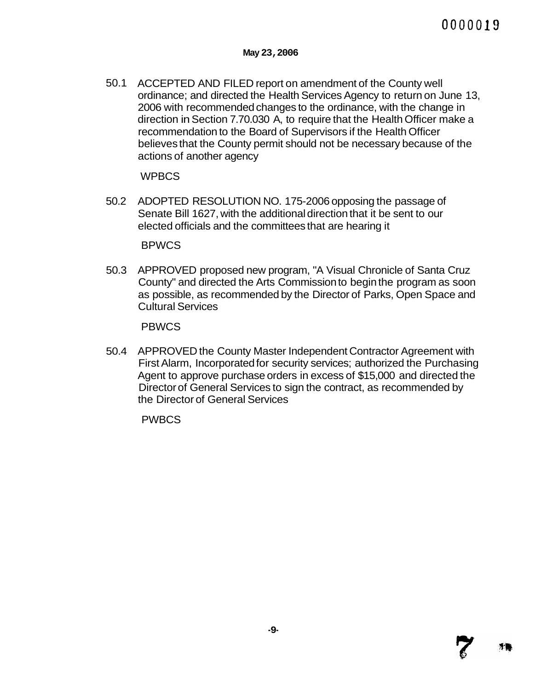50.1 ACCEPTED AND FILED report on amendment of the County well ordinance; and directed the Health Services Agency to return on June 13, 2006 with recommended changes to the ordinance, with the change in direction in Section 7.70.030 A, to require that the Health Officer make a recommendation to the Board of Supervisors if the Health Officer believes that the County permit should not be necessary because of the actions of another agency

**WPBCS** 

50.2 ADOPTED RESOLUTION NO. 175-2006 opposing the passage of Senate Bill 1627, with the additional direction that it be sent to our elected officials and the committees that are hearing it

**BPWCS** 

50.3 APPROVED proposed new program, "A Visual Chronicle of Santa Cruz County" and directed the Arts Commission to begin the program as soon as possible, as recommended by the Director of Parks, Open Space and Cultural Services

PBWCS

50.4 APPROVED the County Master Independent Contractor Agreement with First Alarm, Incorporated for security services; authorized the Purchasing Agent to approve purchase orders in excess of \$15,000 and directed the Director of General Services to sign the contract, as recommended by the Director of General Services

PWBCS